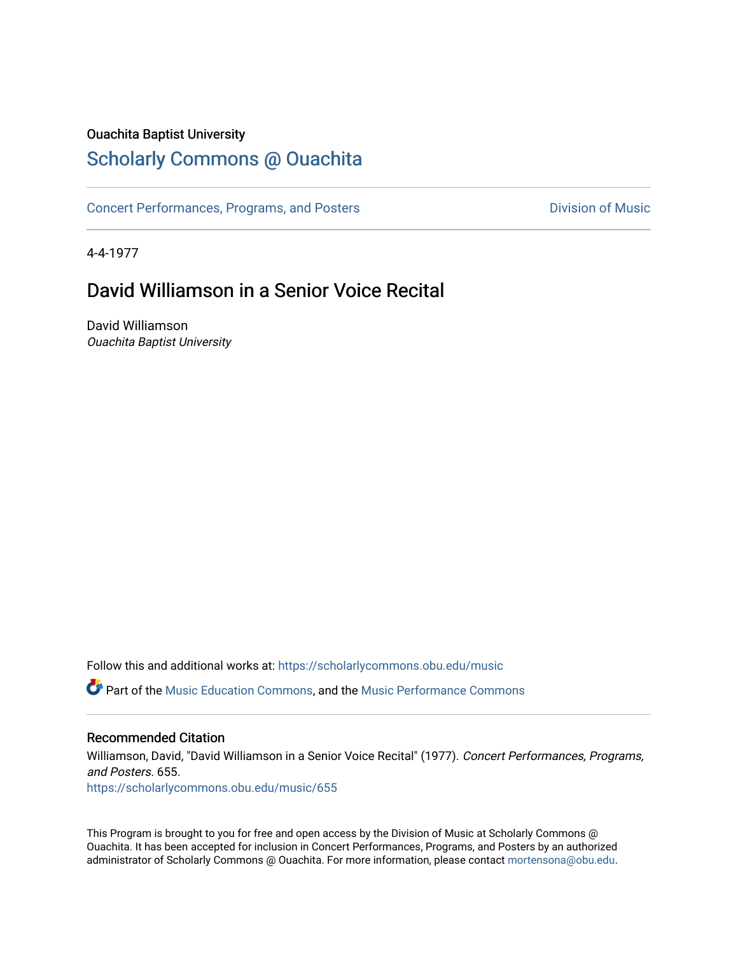# Ouachita Baptist University

# [Scholarly Commons @ Ouachita](https://scholarlycommons.obu.edu/)

[Concert Performances, Programs, and Posters](https://scholarlycommons.obu.edu/music) **Division of Music** Division of Music

4-4-1977

# David Williamson in a Senior Voice Recital

David Williamson Ouachita Baptist University

Follow this and additional works at: [https://scholarlycommons.obu.edu/music](https://scholarlycommons.obu.edu/music?utm_source=scholarlycommons.obu.edu%2Fmusic%2F655&utm_medium=PDF&utm_campaign=PDFCoverPages) 

**C** Part of the [Music Education Commons,](http://network.bepress.com/hgg/discipline/1246?utm_source=scholarlycommons.obu.edu%2Fmusic%2F655&utm_medium=PDF&utm_campaign=PDFCoverPages) and the Music Performance Commons

## Recommended Citation

Williamson, David, "David Williamson in a Senior Voice Recital" (1977). Concert Performances, Programs, and Posters. 655. [https://scholarlycommons.obu.edu/music/655](https://scholarlycommons.obu.edu/music/655?utm_source=scholarlycommons.obu.edu%2Fmusic%2F655&utm_medium=PDF&utm_campaign=PDFCoverPages) 

This Program is brought to you for free and open access by the Division of Music at Scholarly Commons @ Ouachita. It has been accepted for inclusion in Concert Performances, Programs, and Posters by an authorized administrator of Scholarly Commons @ Ouachita. For more information, please contact [mortensona@obu.edu](mailto:mortensona@obu.edu).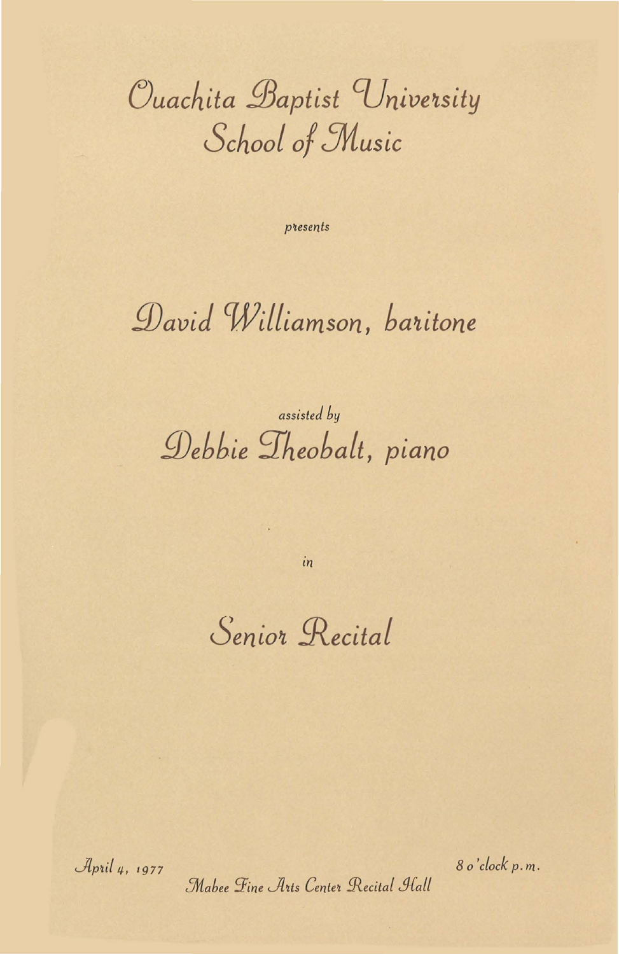Ouachita Baptist University School of Music

presents

# David Williamson, baritone

# assisted by Debbie Theobalt, piano

 $in$ 

Senior Recital

April 4, 1977

8 o'clock p.m.

Mabee Fine Arts Center Recital Hall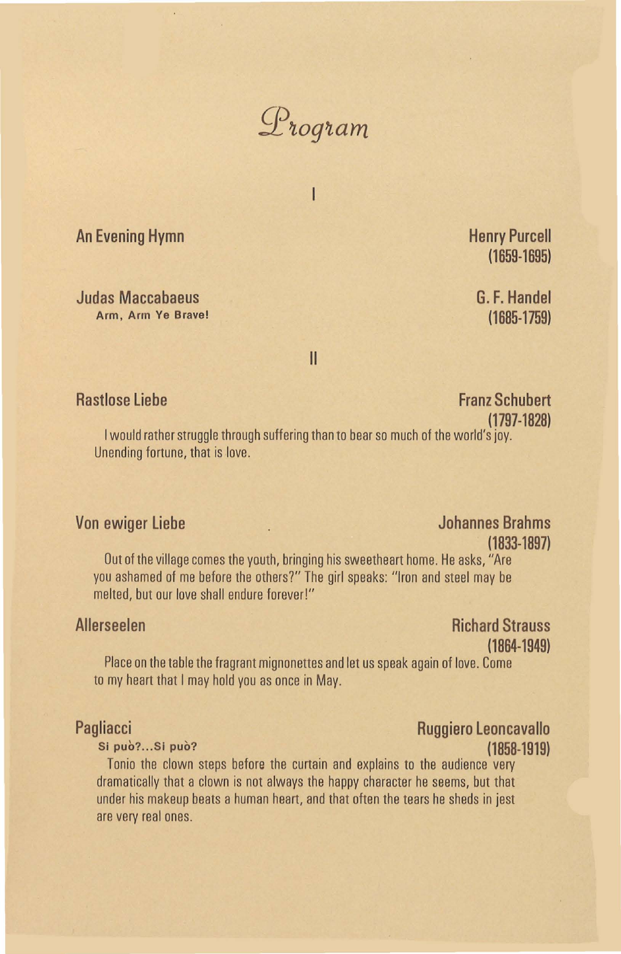

I

**An Evening Hymn** 

**Judas Maccabaeus Arm, Arm Ye Brave!**  **Henry Purcell**  ( **1659-1695)** 

**G. F. Handel**  ( **1685-1759)** 

II

## **Rastlose Liebe** Franz Schubert **Franz Schubert**

**(1797-1828)**  I would rather struggle through suffering than to bear so much of the world's joy. Unending fortune, that is love.

# **Von ewiger Liebe Grahms**  Johannes Brahms **(1833-1897)**

Out of the village comes the youth, bringing his sweetheart home. He asks, "Are you ashamed of me before the others?" The girl speaks: "Iron and steel may be melted, but our love shall endure forever!"

# **Allerseelen** Richard Strauss **Richard Strauss (1864-1949)**

Place on the table the fragrant mignonettes and let us speak again of love. Come to my heart that I may hold you as once in May.

Tanio the clown steps before the curtain and explains to the audience very dramatically that a clown is not always the happy character he seems, but that under his makeup beats a human heart, and that often the tears he sheds in jest are very real ones.

## **Pagliacci Ruggiero Leoncavallo Si pub? .** .. Si **puo? (1858-1919)**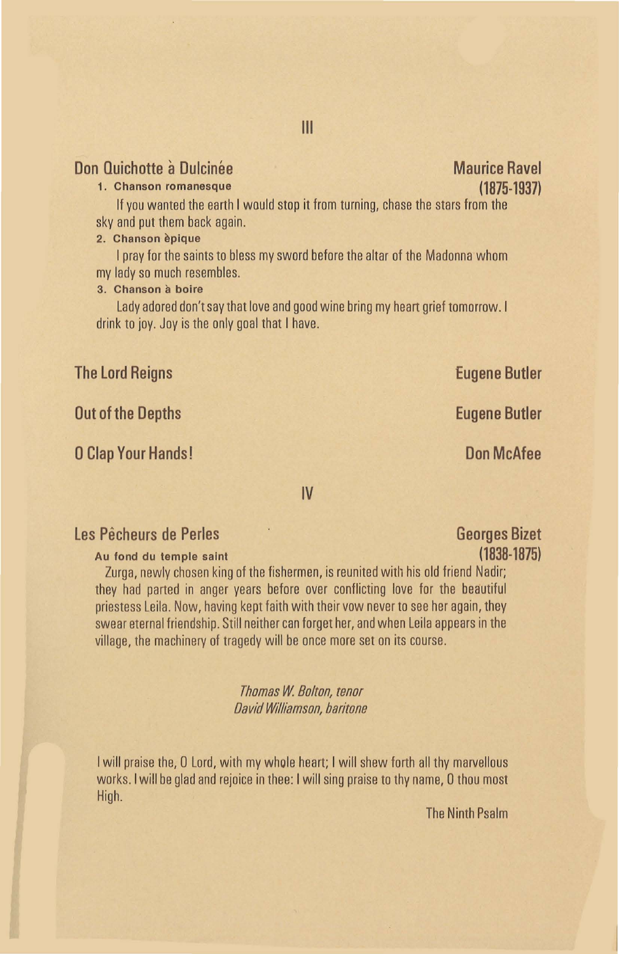# **Don Quichotte à Dulcinée (1898) de la proponduit de la proponduit de la proponduit de la proponduit de la proponduit de la proponduit de la proponduit de la proponduit de la proponduit de la proponduit de la proponduit de**

### **1. Chanson romanesque**

If you wanted the earth I would stop it from turning, chase the stars from the sky and put them back again.

### **2. Chanson epique**

I pray for the saints to bless my sword before the altar of the Madonna whom my lady so much resembles.

### 3. **Chanson a boire**

Lady adored don't say that love and good wine bring my heart grief tomorrow. I drink to joy. Joy is the only goal that I have.

## **The Lord Reigns "Eugene Butler**

**Out of the Depths Eugene Butler Accord Public Contract Contract Public Contract Contract Public Contract Contract Public Contract Public Contract Public Contract Public Contract Public Contract Public Contract Public Cont** 

### **0 Clap Your Hands!** Don McAfee

**IV** 

## **Les Pecheurs de Perles Georges Bizet**

**Au fond du temple saint (1838-1875)** 

Zurga, newly chosen king of the fishermen, is reunited with his old friend Nadir; they had parted in anger years before over conflicting love for the beautiful priestess Leila. Now, having kept faith with their vow never to see her again, they swear eternal friendship. Still neither can forget her, and when Leila appears in the village, the machinery of tragedy will be once more set on its course.

> *Thomas W Bolton, tenor David Williamson, baritone*

I will praise the, 0 Lord, with my whole heart; I will shew forth all thy marvellous works.! will be glad and rejoice in thee: I will sing praise to thy name, 0 thou most High.

The Ninth Psalm